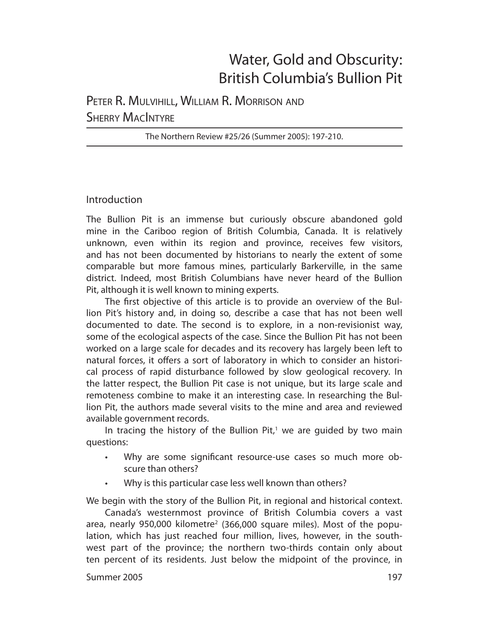# Water, Gold and Obscurity: British Columbia's Bullion Pit

## PETER R. MULVIHILL, WILLIAM R. MORRISON AND **SHERRY MACINTYRE**

The Northern Review #25/26 (Summer 2005): 197-210.

## Introduction

The Bullion Pit is an immense but curiously obscure abandoned gold mine in the Cariboo region of British Columbia, Canada. It is relatively unknown, even within its region and province, receives few visitors, and has not been documented by historians to nearly the extent of some comparable but more famous mines, particularly Barkerville, in the same district. Indeed, most British Columbians have never heard of the Bullion Pit, although it is well known to mining experts.

The first objective of this article is to provide an overview of the Bullion Pit's history and, in doing so, describe a case that has not been well documented to date. The second is to explore, in a non-revisionist way, some of the ecological aspects of the case. Since the Bullion Pit has not been worked on a large scale for decades and its recovery has largely been left to natural forces, it offers a sort of laboratory in which to consider an historical process of rapid disturbance followed by slow geological recovery. In the latter respect, the Bullion Pit case is not unique, but its large scale and remoteness combine to make it an interesting case. In researching the Bullion Pit, the authors made several visits to the mine and area and reviewed available government records.

In tracing the history of the Bullion  $Pit^1$ , we are guided by two main questions:

- Why are some significant resource-use cases so much more obscure than others?
- Why is this particular case less well known than others?

We begin with the story of the Bullion Pit, in regional and historical context.

Canada's westernmost province of British Columbia covers a vast area, nearly 950,000 kilometre<sup>2</sup> (366,000 square miles). Most of the population, which has just reached four million, lives, however, in the southwest part of the province; the northern two-thirds contain only about ten percent of its residents. Just below the midpoint of the province, in

#### Summer 2005 **197**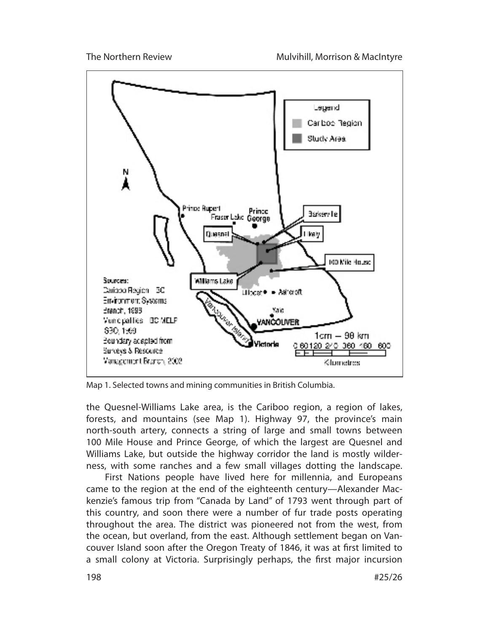

Map 1. Selected towns and mining communities in British Columbia.

the Quesnel-Williams Lake area, is the Cariboo region, a region of lakes, forests, and mountains (see Map 1). Highway 97, the province's main north-south artery, connects a string of large and small towns between 100 Mile House and Prince George, of which the largest are Quesnel and Williams Lake, but outside the highway corridor the land is mostly wilderness, with some ranches and a few small villages dotting the landscape.

First Nations people have lived here for millennia, and Europeans came to the region at the end of the eighteenth century—Alexander Mackenzie's famous trip from "Canada by Land" of 1793 went through part of this country, and soon there were a number of fur trade posts operating throughout the area. The district was pioneered not from the west, from the ocean, but overland, from the east. Although settlement began on Vancouver Island soon after the Oregon Treaty of 1846, it was at first limited to a small colony at Victoria. Surprisingly perhaps, the first major incursion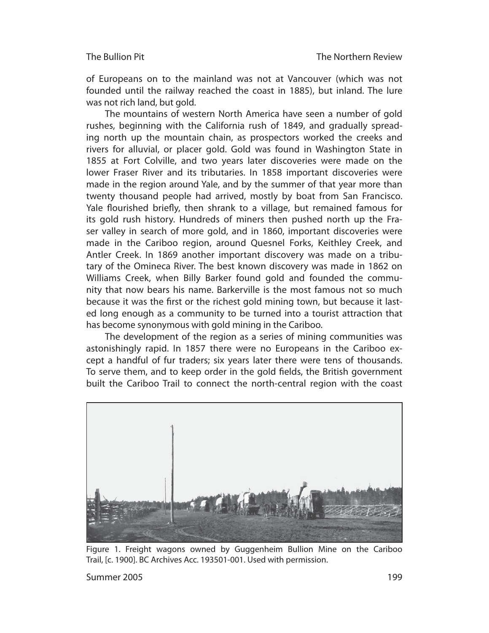of Europeans on to the mainland was not at Vancouver (which was not founded until the railway reached the coast in 1885), but inland. The lure was not rich land, but gold.

The mountains of western North America have seen a number of gold rushes, beginning with the California rush of 1849, and gradually spreading north up the mountain chain, as prospectors worked the creeks and rivers for alluvial, or placer gold. Gold was found in Washington State in 1855 at Fort Colville, and two years later discoveries were made on the lower Fraser River and its tributaries. In 1858 important discoveries were made in the region around Yale, and by the summer of that year more than twenty thousand people had arrived, mostly by boat from San Francisco. Yale flourished briefly, then shrank to a village, but remained famous for its gold rush history. Hundreds of miners then pushed north up the Fraser valley in search of more gold, and in 1860, important discoveries were made in the Cariboo region, around Quesnel Forks, Keithley Creek, and Antler Creek. In 1869 another important discovery was made on a tributary of the Omineca River. The best known discovery was made in 1862 on Williams Creek, when Billy Barker found gold and founded the community that now bears his name. Barkerville is the most famous not so much because it was the first or the richest gold mining town, but because it lasted long enough as a community to be turned into a tourist attraction that has become synonymous with gold mining in the Cariboo.

The development of the region as a series of mining communities was astonishingly rapid. In 1857 there were no Europeans in the Cariboo except a handful of fur traders; six years later there were tens of thousands. To serve them, and to keep order in the gold fields, the British government built the Cariboo Trail to connect the north-central region with the coast



Figure 1. Freight wagons owned by Guggenheim Bullion Mine on the Cariboo Trail, [c. 1900]. BC Archives Acc. 193501-001. Used with permission.

Summer 2005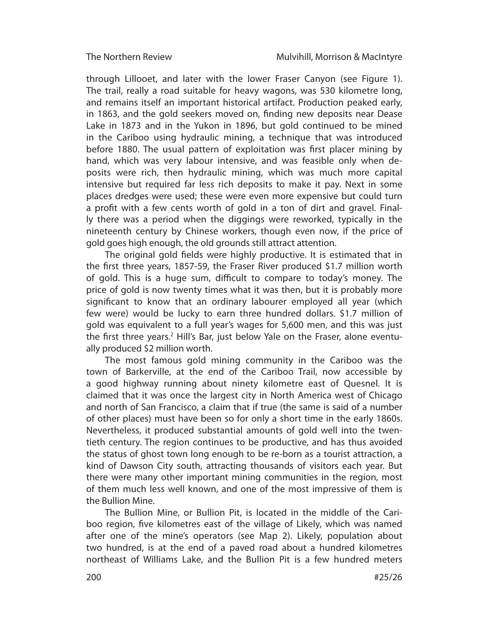through Lillooet, and later with the lower Fraser Canyon (see Figure 1). The trail, really a road suitable for heavy wagons, was 530 kilometre long, and remains itself an important historical artifact. Production peaked early, in 1863, and the gold seekers moved on, finding new deposits near Dease Lake in 1873 and in the Yukon in 1896, but gold continued to be mined in the Cariboo using hydraulic mining, a technique that was introduced before 1880. The usual pattern of exploitation was first placer mining by hand, which was very labour intensive, and was feasible only when deposits were rich, then hydraulic mining, which was much more capital intensive but required far less rich deposits to make it pay. Next in some places dredges were used; these were even more expensive but could turn a profit with a few cents worth of gold in a ton of dirt and gravel. Finally there was a period when the diggings were reworked, typically in the nineteenth century by Chinese workers, though even now, if the price of gold goes high enough, the old grounds still attract attention.

The original gold fields were highly productive. It is estimated that in the first three years, 1857-59, the Fraser River produced \$1.7 million worth of gold. This is a huge sum, difficult to compare to today's money. The price of gold is now twenty times what it was then, but it is probably more significant to know that an ordinary labourer employed all year (which few were) would be lucky to earn three hundred dollars. \$1.7 million of gold was equivalent to a full year's wages for 5,600 men, and this was just the first three years.<sup>2</sup> Hill's Bar, just below Yale on the Fraser, alone eventually produced \$2 million worth.

The most famous gold mining community in the Cariboo was the town of Barkerville, at the end of the Cariboo Trail, now accessible by a good highway running about ninety kilometre east of Quesnel. It is claimed that it was once the largest city in North America west of Chicago and north of San Francisco, a claim that if true (the same is said of a number of other places) must have been so for only a short time in the early 1860s. Nevertheless, it produced substantial amounts of gold well into the twentieth century. The region continues to be productive, and has thus avoided the status of ghost town long enough to be re-born as a tourist attraction, a kind of Dawson City south, attracting thousands of visitors each year. But there were many other important mining communities in the region, most of them much less well known, and one of the most impressive of them is the Bullion Mine.

The Bullion Mine, or Bullion Pit, is located in the middle of the Cariboo region, five kilometres east of the village of Likely, which was named after one of the mine's operators (see Map 2). Likely, population about two hundred, is at the end of a paved road about a hundred kilometres northeast of Williams Lake, and the Bullion Pit is a few hundred meters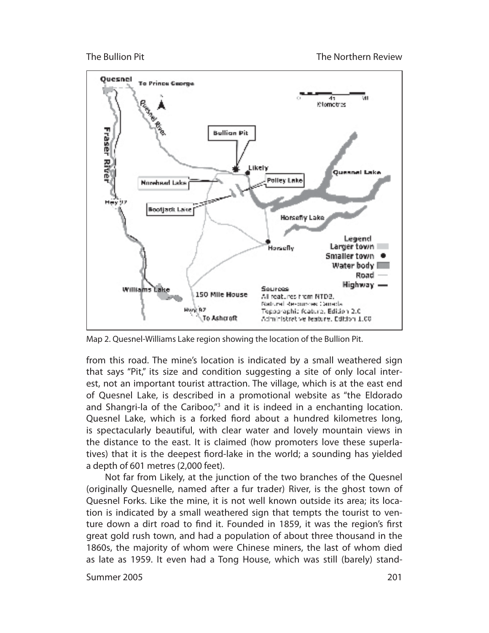

Map 2. Quesnel-Williams Lake region showing the location of the Bullion Pit.

from this road. The mine's location is indicated by a small weathered sign that says "Pit," its size and condition suggesting a site of only local interest, not an important tourist attraction. The village, which is at the east end of Quesnel Lake, is described in a promotional website as "the Eldorado and Shangri-la of the Cariboo,"<sup>3</sup> and it is indeed in a enchanting location. Quesnel Lake, which is a forked fiord about a hundred kilometres long, is spectacularly beautiful, with clear water and lovely mountain views in the distance to the east. It is claimed (how promoters love these superlatives) that it is the deepest fiord-lake in the world; a sounding has yielded a depth of 601 metres (2,000 feet).

Not far from Likely, at the junction of the two branches of the Quesnel (originally Quesnelle, named after a fur trader) River, is the ghost town of Quesnel Forks. Like the mine, it is not well known outside its area; its location is indicated by a small weathered sign that tempts the tourist to venture down a dirt road to find it. Founded in 1859, it was the region's first great gold rush town, and had a population of about three thousand in the 1860s, the majority of whom were Chinese miners, the last of whom died as late as 1959. It even had a Tong House, which was still (barely) stand-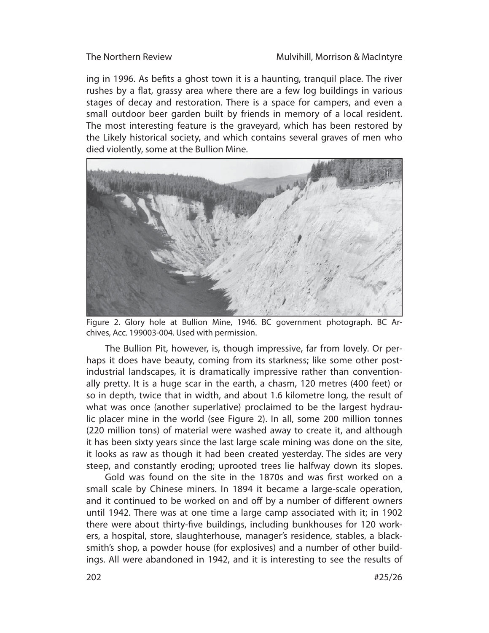ing in 1996. As befits a ghost town it is a haunting, tranquil place. The river rushes by a flat, grassy area where there are a few log buildings in various stages of decay and restoration. There is a space for campers, and even a small outdoor beer garden built by friends in memory of a local resident. The most interesting feature is the graveyard, which has been restored by the Likely historical society, and which contains several graves of men who died violently, some at the Bullion Mine.



Figure 2. Glory hole at Bullion Mine, 1946. BC government photograph. BC Archives, Acc. 199003-004. Used with permission.

The Bullion Pit, however, is, though impressive, far from lovely. Or perhaps it does have beauty, coming from its starkness; like some other postindustrial landscapes, it is dramatically impressive rather than conventionally pretty. It is a huge scar in the earth, a chasm, 120 metres (400 feet) or so in depth, twice that in width, and about 1.6 kilometre long, the result of what was once (another superlative) proclaimed to be the largest hydraulic placer mine in the world (see Figure 2). In all, some 200 million tonnes (220 million tons) of material were washed away to create it, and although it has been sixty years since the last large scale mining was done on the site, it looks as raw as though it had been created yesterday. The sides are very steep, and constantly eroding; uprooted trees lie halfway down its slopes.

Gold was found on the site in the 1870s and was first worked on a small scale by Chinese miners. In 1894 it became a large-scale operation, and it continued to be worked on and off by a number of different owners until 1942. There was at one time a large camp associated with it; in 1902 there were about thirty-five buildings, including bunkhouses for 120 workers, a hospital, store, slaughterhouse, manager's residence, stables, a blacksmith's shop, a powder house (for explosives) and a number of other buildings. All were abandoned in 1942, and it is interesting to see the results of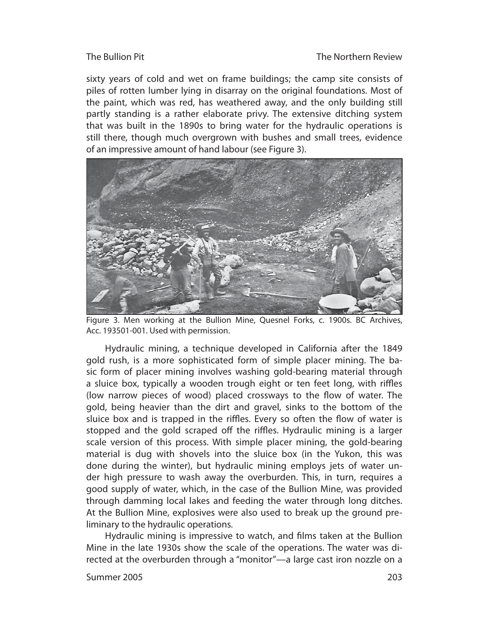sixty years of cold and wet on frame buildings; the camp site consists of piles of rotten lumber lying in disarray on the original foundations. Most of the paint, which was red, has weathered away, and the only building still partly standing is a rather elaborate privy. The extensive ditching system that was built in the 1890s to bring water for the hydraulic operations is still there, though much overgrown with bushes and small trees, evidence of an impressive amount of hand labour (see Figure 3).



Figure 3. Men working at the Bullion Mine, Quesnel Forks, c. 1900s. BC Archives, Acc. 193501-001. Used with permission.

Hydraulic mining, a technique developed in California after the 1849 gold rush, is a more sophisticated form of simple placer mining. The basic form of placer mining involves washing gold-bearing material through a sluice box, typically a wooden trough eight or ten feet long, with riffles (low narrow pieces of wood) placed crossways to the flow of water. The gold, being heavier than the dirt and gravel, sinks to the bottom of the sluice box and is trapped in the riffles. Every so often the flow of water is stopped and the gold scraped off the riffles. Hydraulic mining is a larger scale version of this process. With simple placer mining, the gold-bearing material is dug with shovels into the sluice box (in the Yukon, this was done during the winter), but hydraulic mining employs jets of water under high pressure to wash away the overburden. This, in turn, requires a good supply of water, which, in the case of the Bullion Mine, was provided through damming local lakes and feeding the water through long ditches. At the Bullion Mine, explosives were also used to break up the ground preliminary to the hydraulic operations.

Hydraulic mining is impressive to watch, and films taken at the Bullion Mine in the late 1930s show the scale of the operations. The water was directed at the overburden through a "monitor"—a large cast iron nozzle on a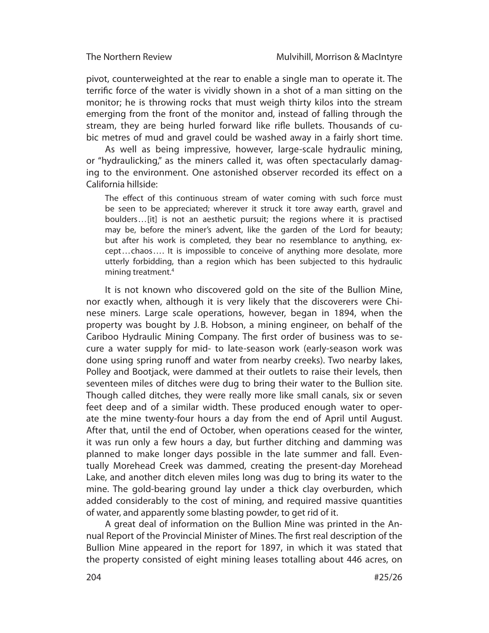pivot, counterweighted at the rear to enable a single man to operate it. The terrific force of the water is vividly shown in a shot of a man sitting on the monitor; he is throwing rocks that must weigh thirty kilos into the stream emerging from the front of the monitor and, instead of falling through the stream, they are being hurled forward like rifle bullets. Thousands of cubic metres of mud and gravel could be washed away in a fairly short time.

As well as being impressive, however, large-scale hydraulic mining, or "hydraulicking," as the miners called it, was often spectacularly damaging to the environment. One astonished observer recorded its effect on a California hillside:

The effect of this continuous stream of water coming with such force must be seen to be appreciated; wherever it struck it tore away earth, gravel and boulders... [it] is not an aesthetic pursuit; the regions where it is practised may be, before the miner's advent, like the garden of the Lord for beauty; but after his work is completed, they bear no resemblance to anything, except...chaos.... It is impossible to conceive of anything more desolate, more utterly forbidding, than a region which has been subjected to this hydraulic mining treatment.4

It is not known who discovered gold on the site of the Bullion Mine, nor exactly when, although it is very likely that the discoverers were Chinese miners. Large scale operations, however, began in 1894, when the property was bought by J. B. Hobson, a mining engineer, on behalf of the Cariboo Hydraulic Mining Company. The first order of business was to secure a water supply for mid- to late-season work (early-season work was done using spring runoff and water from nearby creeks). Two nearby lakes, Polley and Bootjack, were dammed at their outlets to raise their levels, then seventeen miles of ditches were dug to bring their water to the Bullion site. Though called ditches, they were really more like small canals, six or seven feet deep and of a similar width. These produced enough water to operate the mine twenty-four hours a day from the end of April until August. After that, until the end of October, when operations ceased for the winter, it was run only a few hours a day, but further ditching and damming was planned to make longer days possible in the late summer and fall. Eventually Morehead Creek was dammed, creating the present-day Morehead Lake, and another ditch eleven miles long was dug to bring its water to the mine. The gold-bearing ground lay under a thick clay overburden, which added considerably to the cost of mining, and required massive quantities of water, and apparently some blasting powder, to get rid of it.

A great deal of information on the Bullion Mine was printed in the Annual Report of the Provincial Minister of Mines. The first real description of the Bullion Mine appeared in the report for 1897, in which it was stated that the property consisted of eight mining leases totalling about 446 acres, on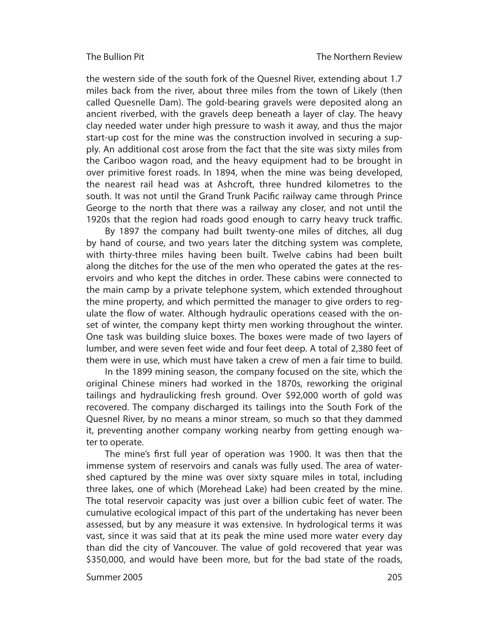the western side of the south fork of the Quesnel River, extending about 1.7 miles back from the river, about three miles from the town of Likely (then called Quesnelle Dam). The gold-bearing gravels were deposited along an ancient riverbed, with the gravels deep beneath a layer of clay. The heavy clay needed water under high pressure to wash it away, and thus the major start-up cost for the mine was the construction involved in securing a supply. An additional cost arose from the fact that the site was sixty miles from the Cariboo wagon road, and the heavy equipment had to be brought in over primitive forest roads. In 1894, when the mine was being developed, the nearest rail head was at Ashcroft, three hundred kilometres to the south. It was not until the Grand Trunk Pacific railway came through Prince George to the north that there was a railway any closer, and not until the 1920s that the region had roads good enough to carry heavy truck traffic.

By 1897 the company had built twenty-one miles of ditches, all dug by hand of course, and two years later the ditching system was complete, with thirty-three miles having been built. Twelve cabins had been built along the ditches for the use of the men who operated the gates at the reservoirs and who kept the ditches in order. These cabins were connected to the main camp by a private telephone system, which extended throughout the mine property, and which permitted the manager to give orders to regulate the flow of water. Although hydraulic operations ceased with the onset of winter, the company kept thirty men working throughout the winter. One task was building sluice boxes. The boxes were made of two layers of lumber, and were seven feet wide and four feet deep. A total of 2,380 feet of them were in use, which must have taken a crew of men a fair time to build.

In the 1899 mining season, the company focused on the site, which the original Chinese miners had worked in the 1870s, reworking the original tailings and hydraulicking fresh ground. Over \$92,000 worth of gold was recovered. The company discharged its tailings into the South Fork of the Quesnel River, by no means a minor stream, so much so that they dammed it, preventing another company working nearby from getting enough water to operate.

The mine's first full year of operation was 1900. It was then that the immense system of reservoirs and canals was fully used. The area of watershed captured by the mine was over sixty square miles in total, including three lakes, one of which (Morehead Lake) had been created by the mine. The total reservoir capacity was just over a billion cubic feet of water. The cumulative ecological impact of this part of the undertaking has never been assessed, but by any measure it was extensive. In hydrological terms it was vast, since it was said that at its peak the mine used more water every day than did the city of Vancouver. The value of gold recovered that year was \$350,000, and would have been more, but for the bad state of the roads,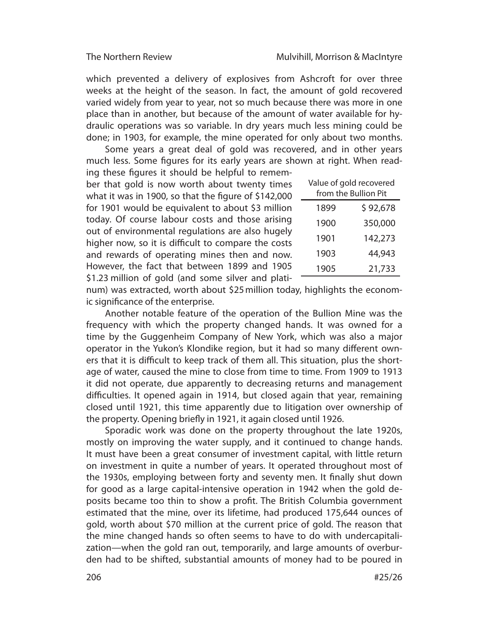which prevented a delivery of explosives from Ashcroft for over three weeks at the height of the season. In fact, the amount of gold recovered varied widely from year to year, not so much because there was more in one place than in another, but because of the amount of water available for hydraulic operations was so variable. In dry years much less mining could be done; in 1903, for example, the mine operated for only about two months.

Some years a great deal of gold was recovered, and in other years much less. Some figures for its early years are shown at right. When reading these figures it should be helpful to remem-

ber that gold is now worth about twenty times what it was in 1900, so that the figure of  $$142,000$ for 1901 would be equivalent to about \$3 million today. Of course labour costs and those arising out of environmental regulations are also hugely higher now, so it is difficult to compare the costs and rewards of operating mines then and now. However, the fact that between 1899 and 1905 \$1.23 million of gold (and some silver and plati-

| Value of gold recovered<br>from the Bullion Pit |          |
|-------------------------------------------------|----------|
| 1899                                            | \$92,678 |
| 1900                                            | 350,000  |
| 1901                                            | 142,273  |
| 1903                                            | 44,943   |
| 1905                                            | 21,733   |

num) was extracted, worth about \$25 million today, highlights the economic significance of the enterprise.

Another notable feature of the operation of the Bullion Mine was the frequency with which the property changed hands. It was owned for a time by the Guggenheim Company of New York, which was also a major operator in the Yukon's Klondike region, but it had so many different owners that it is difficult to keep track of them all. This situation, plus the shortage of water, caused the mine to close from time to time. From 1909 to 1913 it did not operate, due apparently to decreasing returns and management difficulties. It opened again in 1914, but closed again that year, remaining closed until 1921, this time apparently due to litigation over ownership of the property. Opening briefly in 1921, it again closed until 1926.

Sporadic work was done on the property throughout the late 1920s, mostly on improving the water supply, and it continued to change hands. It must have been a great consumer of investment capital, with little return on investment in quite a number of years. It operated throughout most of the 1930s, employing between forty and seventy men. It finally shut down for good as a large capital-intensive operation in 1942 when the gold deposits became too thin to show a profit. The British Columbia government estimated that the mine, over its lifetime, had produced 175,644 ounces of gold, worth about \$70 million at the current price of gold. The reason that the mine changed hands so often seems to have to do with undercapitalization—when the gold ran out, temporarily, and large amounts of overburden had to be shifted, substantial amounts of money had to be poured in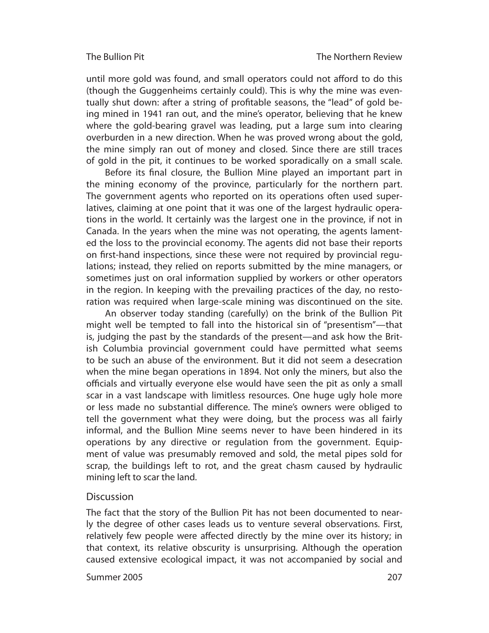#### The Bullion Pit

until more gold was found, and small operators could not afford to do this (though the Guggenheims certainly could). This is why the mine was eventually shut down: after a string of profitable seasons, the "lead" of gold being mined in 1941 ran out, and the mine's operator, believing that he knew where the gold-bearing gravel was leading, put a large sum into clearing overburden in a new direction. When he was proved wrong about the gold, the mine simply ran out of money and closed. Since there are still traces of gold in the pit, it continues to be worked sporadically on a small scale.

Before its final closure, the Bullion Mine played an important part in the mining economy of the province, particularly for the northern part. The government agents who reported on its operations often used superlatives, claiming at one point that it was one of the largest hydraulic operations in the world. It certainly was the largest one in the province, if not in Canada. In the years when the mine was not operating, the agents lamented the loss to the provincial economy. The agents did not base their reports on first-hand inspections, since these were not required by provincial regulations; instead, they relied on reports submitted by the mine managers, or sometimes just on oral information supplied by workers or other operators in the region. In keeping with the prevailing practices of the day, no restoration was required when large-scale mining was discontinued on the site.

An observer today standing (carefully) on the brink of the Bullion Pit might well be tempted to fall into the historical sin of "presentism"—that is, judging the past by the standards of the present—and ask how the British Columbia provincial government could have permitted what seems to be such an abuse of the environment. But it did not seem a desecration when the mine began operations in 1894. Not only the miners, but also the officials and virtually everyone else would have seen the pit as only a small scar in a vast landscape with limitless resources. One huge ugly hole more or less made no substantial difference. The mine's owners were obliged to tell the government what they were doing, but the process was all fairly informal, and the Bullion Mine seems never to have been hindered in its operations by any directive or regulation from the government. Equipment of value was presumably removed and sold, the metal pipes sold for scrap, the buildings left to rot, and the great chasm caused by hydraulic mining left to scar the land.

## **Discussion**

The fact that the story of the Bullion Pit has not been documented to nearly the degree of other cases leads us to venture several observations. First, relatively few people were affected directly by the mine over its history; in that context, its relative obscurity is unsurprising. Although the operation caused extensive ecological impact, it was not accompanied by social and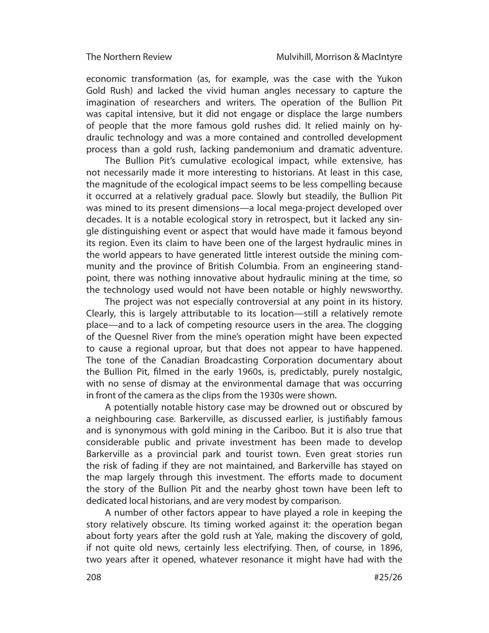economic transformation (as, for example, was the case with the Yukon Gold Rush) and lacked the vivid human angles necessary to capture the imagination of researchers and writers. The operation of the Bullion Pit was capital intensive, but it did not engage or displace the large numbers of people that the more famous gold rushes did. It relied mainly on hydraulic technology and was a more contained and controlled development process than a gold rush, lacking pandemonium and dramatic adventure.

The Bullion Pit's cumulative ecological impact, while extensive, has not necessarily made it more interesting to historians. At least in this case, the magnitude of the ecological impact seems to be less compelling because it occurred at a relatively gradual pace. Slowly but steadily, the Bullion Pit was mined to its present dimensions—a local mega-project developed over decades. It is a notable ecological story in retrospect, but it lacked any single distinguishing event or aspect that would have made it famous beyond its region. Even its claim to have been one of the largest hydraulic mines in the world appears to have generated little interest outside the mining community and the province of British Columbia. From an engineering standpoint, there was nothing innovative about hydraulic mining at the time, so the technology used would not have been notable or highly newsworthy.

The project was not especially controversial at any point in its history. Clearly, this is largely attributable to its location—still a relatively remote place—and to a lack of competing resource users in the area. The clogging of the Quesnel River from the mine's operation might have been expected to cause a regional uproar, but that does not appear to have happened. The tone of the Canadian Broadcasting Corporation documentary about the Bullion Pit, filmed in the early 1960s, is, predictably, purely nostalgic, with no sense of dismay at the environmental damage that was occurring in front of the camera as the clips from the 1930s were shown.

A potentially notable history case may be drowned out or obscured by a neighbouring case. Barkerville, as discussed earlier, is justifiably famous and is synonymous with gold mining in the Cariboo. But it is also true that considerable public and private investment has been made to develop Barkerville as a provincial park and tourist town. Even great stories run the risk of fading if they are not maintained, and Barkerville has stayed on the map largely through this investment. The efforts made to document the story of the Bullion Pit and the nearby ghost town have been left to dedicated local historians, and are very modest by comparison.

A number of other factors appear to have played a role in keeping the story relatively obscure. Its timing worked against it: the operation began about forty years after the gold rush at Yale, making the discovery of gold, if not quite old news, certainly less electrifying. Then, of course, in 1896, two years after it opened, whatever resonance it might have had with the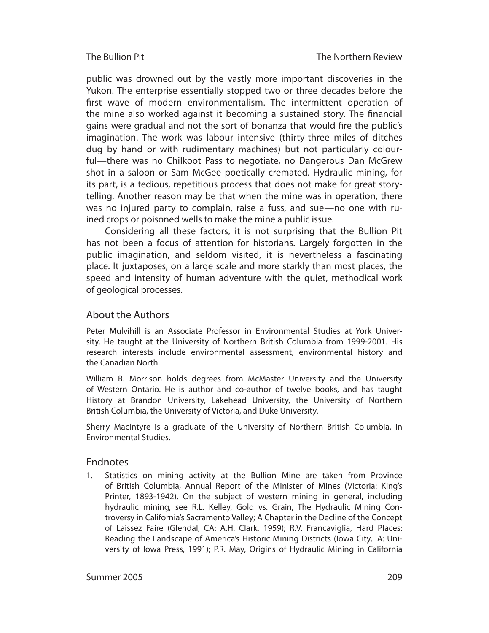#### The Bullion Pit

public was drowned out by the vastly more important discoveries in the Yukon. The enterprise essentially stopped two or three decades before the first wave of modern environmentalism. The intermittent operation of the mine also worked against it becoming a sustained story. The financial gains were gradual and not the sort of bonanza that would fire the public's imagination. The work was labour intensive (thirty-three miles of ditches dug by hand or with rudimentary machines) but not particularly colourful—there was no Chilkoot Pass to negotiate, no Dangerous Dan McGrew shot in a saloon or Sam McGee poetically cremated. Hydraulic mining, for its part, is a tedious, repetitious process that does not make for great storytelling. Another reason may be that when the mine was in operation, there was no injured party to complain, raise a fuss, and sue—no one with ruined crops or poisoned wells to make the mine a public issue.

Considering all these factors, it is not surprising that the Bullion Pit has not been a focus of attention for historians. Largely forgotten in the public imagination, and seldom visited, it is nevertheless a fascinating place. It juxtaposes, on a large scale and more starkly than most places, the speed and intensity of human adventure with the quiet, methodical work of geological processes.

## About the Authors

Peter Mulvihill is an Associate Professor in Environmental Studies at York University. He taught at the University of Northern British Columbia from 1999-2001. His research interests include environmental assessment, environmental history and the Canadian North.

William R. Morrison holds degrees from McMaster University and the University of Western Ontario. He is author and co-author of twelve books, and has taught History at Brandon University, Lakehead University, the University of Northern British Columbia, the University of Victoria, and Duke University.

Sherry MacIntyre is a graduate of the University of Northern British Columbia, in Environmental Studies.

### Endnotes

1. Statistics on mining activity at the Bullion Mine are taken from Province of British Columbia, Annual Report of the Minister of Mines (Victoria: King's Printer, 1893-1942). On the subject of western mining in general, including hydraulic mining, see R.L. Kelley, Gold vs. Grain, The Hydraulic Mining Controversy in California's Sacramento Valley; A Chapter in the Decline of the Concept of Laissez Faire (Glendal, CA: A.H. Clark, 1959); R.V. Francaviglia, Hard Places: Reading the Landscape of America's Historic Mining Districts (Iowa City, IA: University of Iowa Press, 1991); P.R. May, Origins of Hydraulic Mining in California